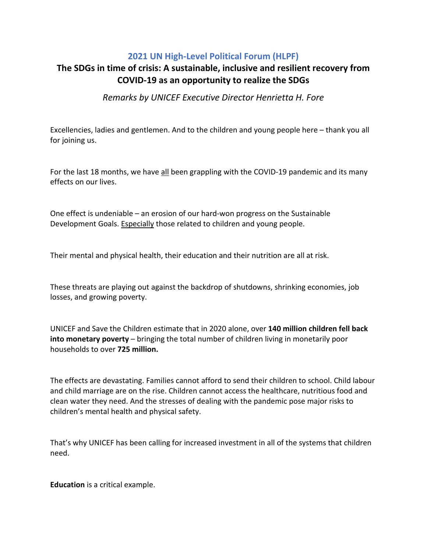## **2021 UN High-Level Political Forum (HLPF)**

## **The SDGs in time of crisis: A sustainable, inclusive and resilient recovery from COVID-19 as an opportunity to realize the SDGs**

*Remarks by UNICEF Executive Director Henrietta H. Fore* 

Excellencies, ladies and gentlemen. And to the children and young people here – thank you all for joining us.

For the last 18 months, we have all been grappling with the COVID-19 pandemic and its many effects on our lives.

One effect is undeniable – an erosion of our hard-won progress on the Sustainable Development Goals. Especially those related to children and young people.

Their mental and physical health, their education and their nutrition are all at risk.

These threats are playing out against the backdrop of shutdowns, shrinking economies, job losses, and growing poverty.

UNICEF and Save the Children estimate that in 2020 alone, over **140 million children fell back into monetary poverty** – bringing the total number of children living in monetarily poor households to over **725 million.**

The effects are devastating. Families cannot afford to send their children to school. Child labour and child marriage are on the rise. Children cannot access the healthcare, nutritious food and clean water they need. And the stresses of dealing with the pandemic pose major risks to children's mental health and physical safety.

That's why UNICEF has been calling for increased investment in all of the systems that children need.

**Education** is a critical example.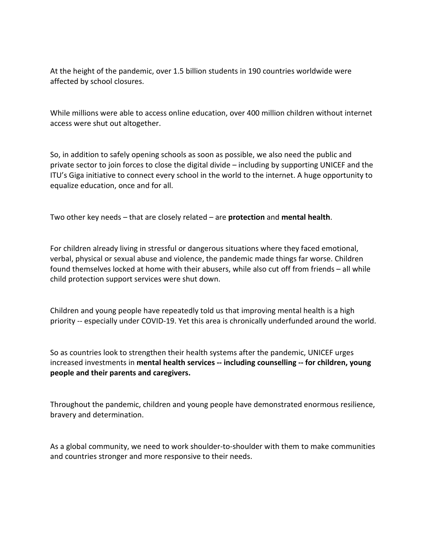At the height of the pandemic, over 1.5 billion students in 190 countries worldwide were affected by school closures.

While millions were able to access online education, over 400 million children without internet access were shut out altogether.

So, in addition to safely opening schools as soon as possible, we also need the public and private sector to join forces to close the digital divide – including by supporting UNICEF and the ITU's Giga initiative to connect every school in the world to the internet. A huge opportunity to equalize education, once and for all.

Two other key needs – that are closely related – are **protection** and **mental health**.

For children already living in stressful or dangerous situations where they faced emotional, verbal, physical or sexual abuse and violence, the pandemic made things far worse. Children found themselves locked at home with their abusers, while also cut off from friends – all while child protection support services were shut down.

Children and young people have repeatedly told us that improving mental health is a high priority -- especially under COVID-19. Yet this area is chronically underfunded around the world.

So as countries look to strengthen their health systems after the pandemic, UNICEF urges increased investments in **mental health services -- including counselling -- for children, young people and their parents and caregivers.** 

Throughout the pandemic, children and young people have demonstrated enormous resilience, bravery and determination.

As a global community, we need to work shoulder-to-shoulder with them to make communities and countries stronger and more responsive to their needs.